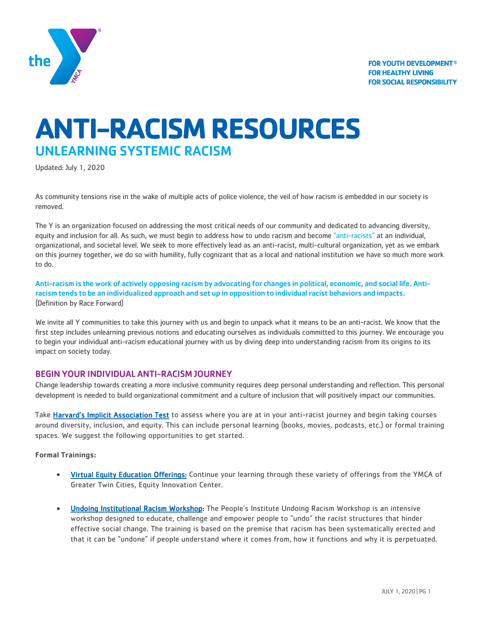

# **ANTI-RACISM RESOURCES** UNLEARNING SYSTEMIC RACISM

Updated: July 1, 2020

As community tensions rise in the wake of multiple acts of police violence, the veil of how racism is embedded in our society is removed.

The Y is an organization focused on addressing the most critical needs of our community and dedicated to advancing diversity, equity and inclusion for all. As such, we must begin to address how to undo racism and become "anti-racists" at an individual, organizational, and societal level. We seek to more effectively lead as an anti-racist, multi-cultural organization, yet as we embark on this journey together, we do so with humility, fully cognizant that as a local and national institution we have so much more work to do.

Anti-racism is the work of actively opposing racism by advocating for changes in political, economic, and social life. Antiracism tends to be an individualized approach and set up in opposition to individual racist behaviors and impacts. (Definition by Race Forward)

We invite all Y communities to take this journey with us and begin to unpack what it means to be an anti-racist. We know that the first step includes unlearning previous notions and educating ourselves as individuals committed to this journey. We encourage you to begin your individual anti-racism educational journey with us by diving deep into understanding racism from its origins to its impact on society today.

# BEGIN YOUR INDIVIDUAL ANTI-RACISM JOURNEY

Change leadership towards creating a more inclusive community requires deep personal understanding and reflection. This personal development is needed to build organizational commitment and a culture of inclusion that will positively impact our communities.

Take [Harvard's Implicit Association Test](https://implicit.harvard.edu/implicit/takeatest.html) to assess where you are at in your anti-racist journey and begin taking courses around diversity, inclusion, and equity. This can include personal learning (books, movies, podcasts, etc.) or formal training spaces. We suggest the following opportunities to get started.

## Formal Trainings:

- [Virtual Equity Education Offerings:](https://www.ymcamn.org/register-free-online-classes-equity-innovation-center) Continue your learning through these variety of offerings from the YMCA of Greater Twin Cities, Equity Innovation Center.
- **[Undoing Institutional Racism Workshop:](https://www.pisab.org/)** The People's Institute Undoing Racism Workshop is an intensive workshop designed to educate, challenge and empower people to "undo" the racist structures that hinder effective social change. The training is based on the premise that racism has been systematically erected and that it can be "undone" if people understand where it comes from, how it functions and why it is perpetuated.